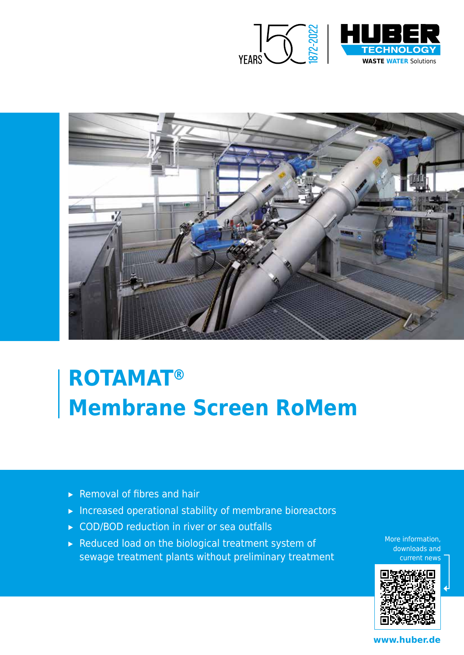



# **ROTAMAT® Membrane Screen RoMem**

- ▸ Removal of fibres and hair
- ▸ Increased operational stability of membrane bioreactors
- ▸ COD/BOD reduction in river or sea outfalls
- ▸ Reduced load on the biological treatment system of sewage treatment plants without preliminary treatment

More information, downloads and current news



**www.huber.de**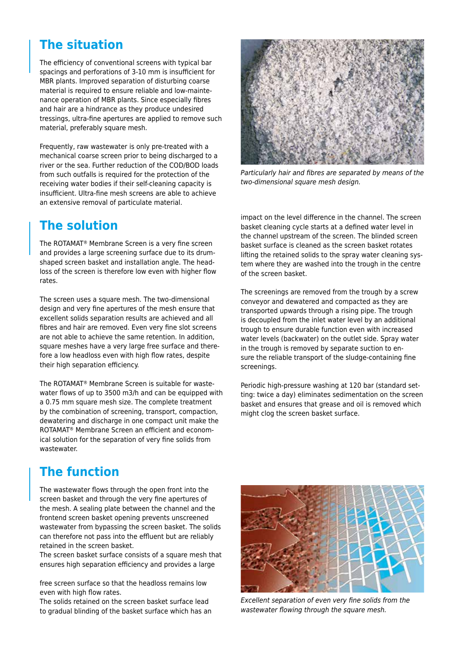### **The situation**

The efficiency of conventional screens with typical bar spacings and perforations of 3-10 mm is insufficient for MBR plants. Improved separation of disturbing coarse material is required to ensure reliable and low-maintenance operation of MBR plants. Since especially fibres and hair are a hindrance as they produce undesired tressings, ultra-fine apertures are applied to remove such material, preferably square mesh.

Frequently, raw wastewater is only pre-treated with a mechanical coarse screen prior to being discharged to a river or the sea. Further reduction of the COD/BOD loads from such outfalls is required for the protection of the receiving water bodies if their self-cleaning capacity is insufficient. Ultra-fine mesh screens are able to achieve an extensive removal of particulate material.

# **The solution**

The ROTAMAT® Membrane Screen is a very fine screen and provides a large screening surface due to its drumshaped screen basket and installation angle. The headloss of the screen is therefore low even with higher flow rates.

The screen uses a square mesh. The two-dimensional design and very fine apertures of the mesh ensure that excellent solids separation results are achieved and all fibres and hair are removed. Even very fine slot screens are not able to achieve the same retention. In addition, square meshes have a very large free surface and therefore a low headloss even with high flow rates, despite their high separation efficiency.

The ROTAMAT® Membrane Screen is suitable for wastewater flows of up to 3500 m3/h and can be equipped with a 0.75 mm square mesh size. The complete treatment by the combination of screening, transport, compaction, dewatering and discharge in one compact unit make the ROTAMAT® Membrane Screen an efficient and economical solution for the separation of very fine solids from wastewater.

# **The function**

The wastewater flows through the open front into the screen basket and through the very fine apertures of the mesh. A sealing plate between the channel and the frontend screen basket opening prevents unscreened wastewater from bypassing the screen basket. The solids can therefore not pass into the effluent but are reliably retained in the screen basket.

The screen basket surface consists of a square mesh that ensures high separation efficiency and provides a large

free screen surface so that the headloss remains low even with high flow rates.

The solids retained on the screen basket surface lead to gradual blinding of the basket surface which has an



Particularly hair and fibres are separated by means of the two-dimensional square mesh design.

impact on the level difference in the channel. The screen basket cleaning cycle starts at a defined water level in the channel upstream of the screen. The blinded screen basket surface is cleaned as the screen basket rotates lifting the retained solids to the spray water cleaning system where they are washed into the trough in the centre of the screen basket.

The screenings are removed from the trough by a screw conveyor and dewatered and compacted as they are transported upwards through a rising pipe. The trough is decoupled from the inlet water level by an additional trough to ensure durable function even with increased water levels (backwater) on the outlet side. Spray water in the trough is removed by separate suction to ensure the reliable transport of the sludge-containing fine screenings.

Periodic high-pressure washing at 120 bar (standard setting: twice a day) eliminates sedimentation on the screen basket and ensures that grease and oil is removed which might clog the screen basket surface.



Excellent separation of even very fine solids from the wastewater flowing through the square mesh.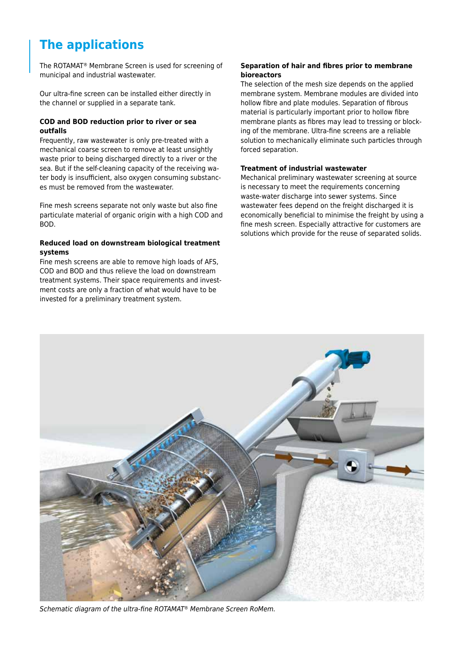# **The applications**

The ROTAMAT® Membrane Screen is used for screening of municipal and industrial wastewater.

Our ultra-fine screen can be installed either directly in the channel or supplied in a separate tank.

#### **COD and BOD reduction prior to river or sea outfalls**

Frequently, raw wastewater is only pre-treated with a mechanical coarse screen to remove at least unsightly waste prior to being discharged directly to a river or the sea. But if the self-cleaning capacity of the receiving water body is insufficient, also oxygen consuming substances must be removed from the wastewater.

Fine mesh screens separate not only waste but also fine particulate material of organic origin with a high COD and BOD.

#### **Reduced load on downstream biological treatment systems**

Fine mesh screens are able to remove high loads of AFS, COD and BOD and thus relieve the load on downstream treatment systems. Their space requirements and investment costs are only a fraction of what would have to be invested for a preliminary treatment system.

#### **Separation of hair and fibres prior to membrane bioreactors**

The selection of the mesh size depends on the applied membrane system. Membrane modules are divided into hollow fibre and plate modules. Separation of fibrous material is particularly important prior to hollow fibre membrane plants as fibres may lead to tressing or blocking of the membrane. Ultra-fine screens are a reliable solution to mechanically eliminate such particles through forced separation.

#### **Treatment of industrial wastewater**

Mechanical preliminary wastewater screening at source is necessary to meet the requirements concerning waste-water discharge into sewer systems. Since wastewater fees depend on the freight discharged it is economically beneficial to minimise the freight by using a fine mesh screen. Especially attractive for customers are solutions which provide for the reuse of separated solids.



Schematic diagram of the ultra-fine ROTAMAT® Membrane Screen RoMem.